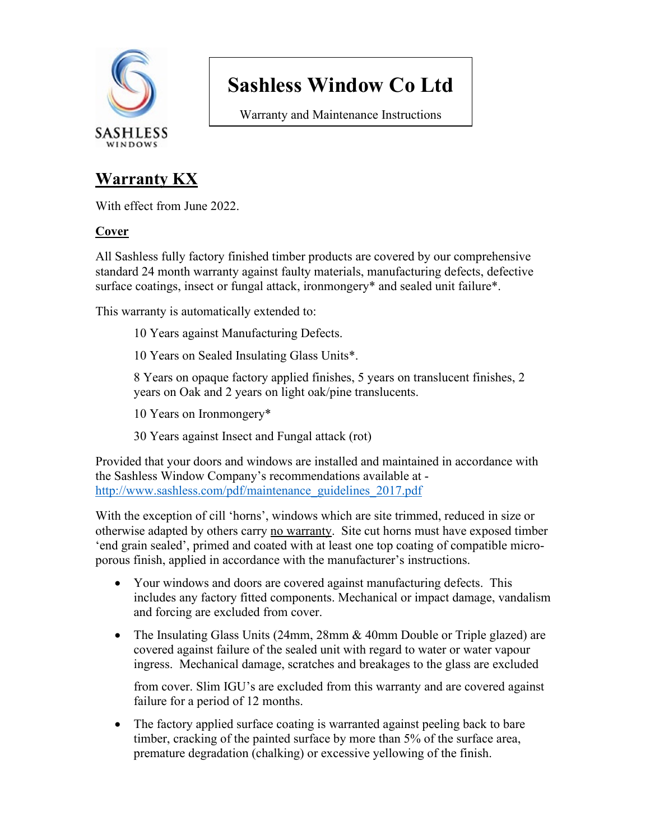

Warranty and Maintenance Instructions

### **Warranty KX**

With effect from June 2022.

#### **Cover**

All Sashless fully factory finished timber products are covered by our comprehensive standard 24 month warranty against faulty materials, manufacturing defects, defective surface coatings, insect or fungal attack, ironmongery\* and sealed unit failure\*.

This warranty is automatically extended to:

- 10 Years against Manufacturing Defects.
- 10 Years on Sealed Insulating Glass Units\*.

8 Years on opaque factory applied finishes, 5 years on translucent finishes, 2 years on Oak and 2 years on light oak/pine translucents.

- 10 Years on Ironmongery\*
- 30 Years against Insect and Fungal attack (rot)

Provided that your doors and windows are installed and maintained in accordance with the Sashless Window Company's recommendations available at http://www.sashless.com/pdf/maintenance\_guidelines\_2017.pdf

With the exception of cill 'horns', windows which are site trimmed, reduced in size or otherwise adapted by others carry no warranty. Site cut horns must have exposed timber 'end grain sealed', primed and coated with at least one top coating of compatible microporous finish, applied in accordance with the manufacturer's instructions.

- Your windows and doors are covered against manufacturing defects. This includes any factory fitted components. Mechanical or impact damage, vandalism and forcing are excluded from cover.
- The Insulating Glass Units (24mm, 28mm & 40mm Double or Triple glazed) are covered against failure of the sealed unit with regard to water or water vapour ingress. Mechanical damage, scratches and breakages to the glass are excluded

from cover. Slim IGU's are excluded from this warranty and are covered against failure for a period of 12 months.

• The factory applied surface coating is warranted against peeling back to bare timber, cracking of the painted surface by more than 5% of the surface area, premature degradation (chalking) or excessive yellowing of the finish.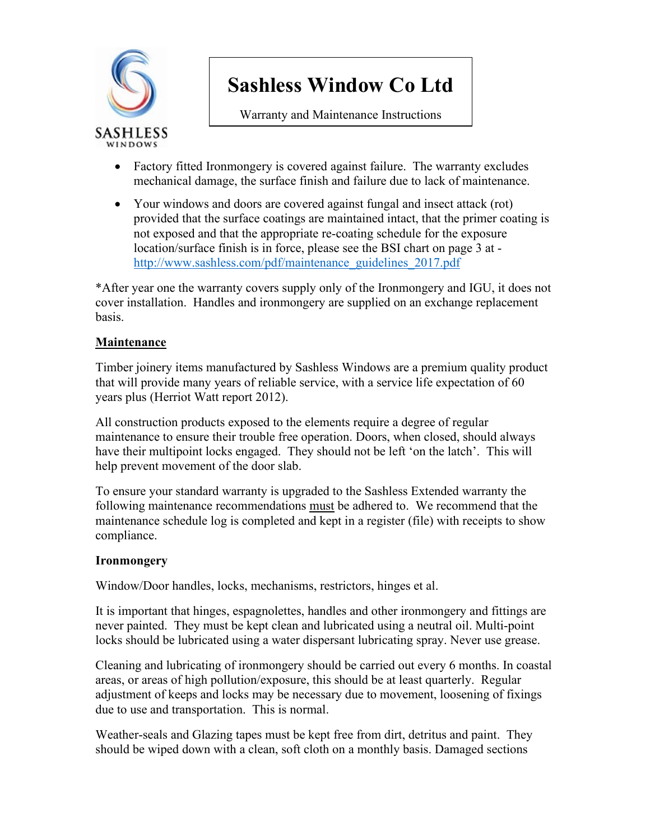

Warranty and Maintenance Instructions

- Factory fitted Ironmongery is covered against failure. The warranty excludes mechanical damage, the surface finish and failure due to lack of maintenance.
- Your windows and doors are covered against fungal and insect attack (rot) provided that the surface coatings are maintained intact, that the primer coating is not exposed and that the appropriate re-coating schedule for the exposure location/surface finish is in force, please see the BSI chart on page 3 at [http://www.sashless.com/pdf/maintenance\\_guidelines\\_2017.pdf](http://www.sashless.com/pdf/maintenance_guidelines_2017.pdf)

\*After year one the warranty covers supply only of the Ironmongery and IGU, it does not cover installation. Handles and ironmongery are supplied on an exchange replacement basis.

#### **Maintenance**

Timber joinery items manufactured by Sashless Windows are a premium quality product that will provide many years of reliable service, with a service life expectation of 60 years plus (Herriot Watt report 2012).

All construction products exposed to the elements require a degree of regular maintenance to ensure their trouble free operation. Doors, when closed, should always have their multipoint locks engaged. They should not be left 'on the latch'. This will help prevent movement of the door slab.

To ensure your standard warranty is upgraded to the Sashless Extended warranty the following maintenance recommendations must be adhered to. We recommend that the maintenance schedule log is completed and kept in a register (file) with receipts to show compliance.

#### **Ironmongery**

Window/Door handles, locks, mechanisms, restrictors, hinges et al.

It is important that hinges, espagnolettes, handles and other ironmongery and fittings are never painted. They must be kept clean and lubricated using a neutral oil. Multi-point locks should be lubricated using a water dispersant lubricating spray. Never use grease.

Cleaning and lubricating of ironmongery should be carried out every 6 months. In coastal areas, or areas of high pollution/exposure, this should be at least quarterly. Regular adjustment of keeps and locks may be necessary due to movement, loosening of fixings due to use and transportation. This is normal.

Weather-seals and Glazing tapes must be kept free from dirt, detritus and paint. They should be wiped down with a clean, soft cloth on a monthly basis. Damaged sections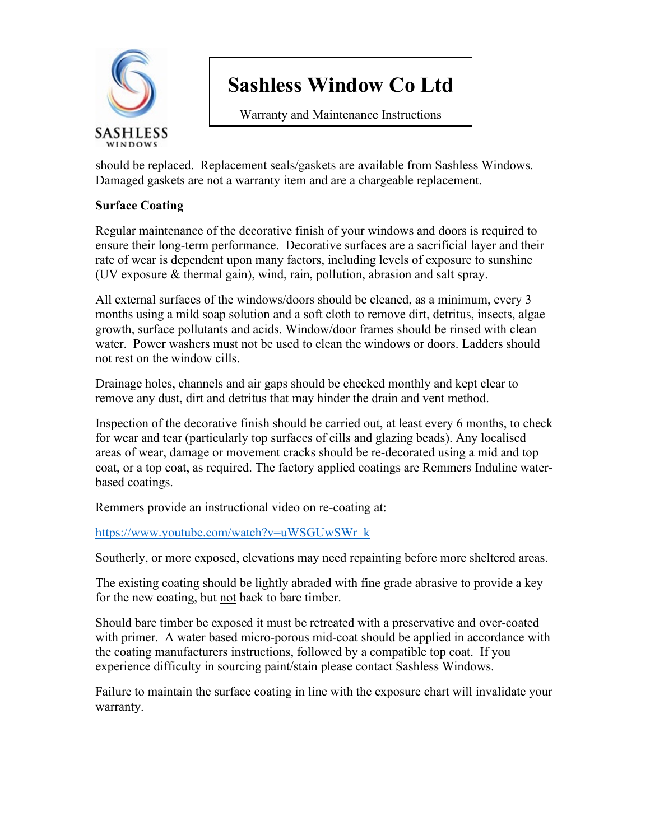

Warranty and Maintenance Instructions

should be replaced. Replacement seals/gaskets are available from Sashless Windows. Damaged gaskets are not a warranty item and are a chargeable replacement.

#### **Surface Coating**

Regular maintenance of the decorative finish of your windows and doors is required to ensure their long-term performance. Decorative surfaces are a sacrificial layer and their rate of wear is dependent upon many factors, including levels of exposure to sunshine (UV exposure & thermal gain), wind, rain, pollution, abrasion and salt spray.

All external surfaces of the windows/doors should be cleaned, as a minimum, every 3 months using a mild soap solution and a soft cloth to remove dirt, detritus, insects, algae growth, surface pollutants and acids. Window/door frames should be rinsed with clean water. Power washers must not be used to clean the windows or doors. Ladders should not rest on the window cills.

Drainage holes, channels and air gaps should be checked monthly and kept clear to remove any dust, dirt and detritus that may hinder the drain and vent method.

Inspection of the decorative finish should be carried out, at least every 6 months, to check for wear and tear (particularly top surfaces of cills and glazing beads). Any localised areas of wear, damage or movement cracks should be re-decorated using a mid and top coat, or a top coat, as required. The factory applied coatings are Remmers Induline waterbased coatings.

Remmers provide an instructional video on re-coating at:

[https://www.youtube.com/watch?v=uWSGUwSWr\\_k](https://www.youtube.com/watch?v=uWSGUwSWr_k) 

Southerly, or more exposed, elevations may need repainting before more sheltered areas.

The existing coating should be lightly abraded with fine grade abrasive to provide a key for the new coating, but not back to bare timber.

Should bare timber be exposed it must be retreated with a preservative and over-coated with primer. A water based micro-porous mid-coat should be applied in accordance with the coating manufacturers instructions, followed by a compatible top coat. If you experience difficulty in sourcing paint/stain please contact Sashless Windows.

Failure to maintain the surface coating in line with the exposure chart will invalidate your warranty.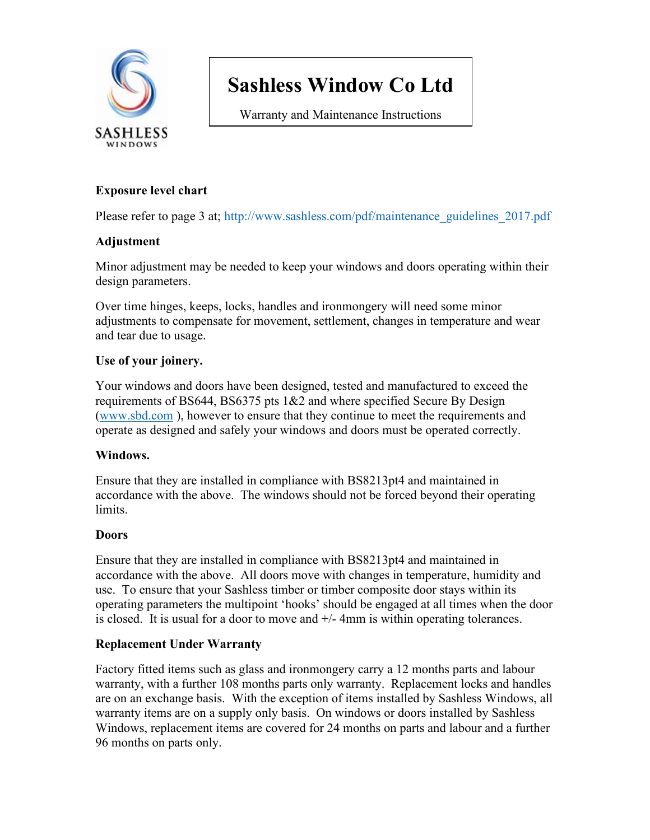

Warranty and Maintenance Instructions

#### **Exposure level chart**

Please refer to page 3 at; http://www.sashless.com/pdf/maintenance\_guidelines\_2017.pdf

#### **Adjustment**

Minor adjustment may be needed to keep your windows and doors operating within their design parameters.

Over time hinges, keeps, locks, handles and ironmongery will need some minor adjustments to compensate for movement, settlement, changes in temperature and wear and tear due to usage.

#### **Use of your joinery.**

Your windows and doors have been designed, tested and manufactured to exceed the requirements of BS644, BS6375 pts 1&2 and where specified Secure By Design [\(www.sbd.com](http://www.sbd.com/) ), however to ensure that they continue to meet the requirements and operate as designed and safely your windows and doors must be operated correctly.

#### **Windows.**

Ensure that they are installed in compliance with BS8213pt4 and maintained in accordance with the above. The windows should not be forced beyond their operating limits.

#### **Doors**

Ensure that they are installed in compliance with BS8213pt4 and maintained in accordance with the above. All doors move with changes in temperature, humidity and use. To ensure that your Sashless timber or timber composite door stays within its operating parameters the multipoint 'hooks' should be engaged at all times when the door is closed. It is usual for a door to move and +/- 4mm is within operating tolerances.

#### **Replacement Under Warranty**

Factory fitted items such as glass and ironmongery carry a 12 months parts and labour warranty, with a further 108 months parts only warranty. Replacement locks and handles are on an exchange basis. With the exception of items installed by Sashless Windows, all warranty items are on a supply only basis. On windows or doors installed by Sashless Windows, replacement items are covered for 24 months on parts and labour and a further 96 months on parts only.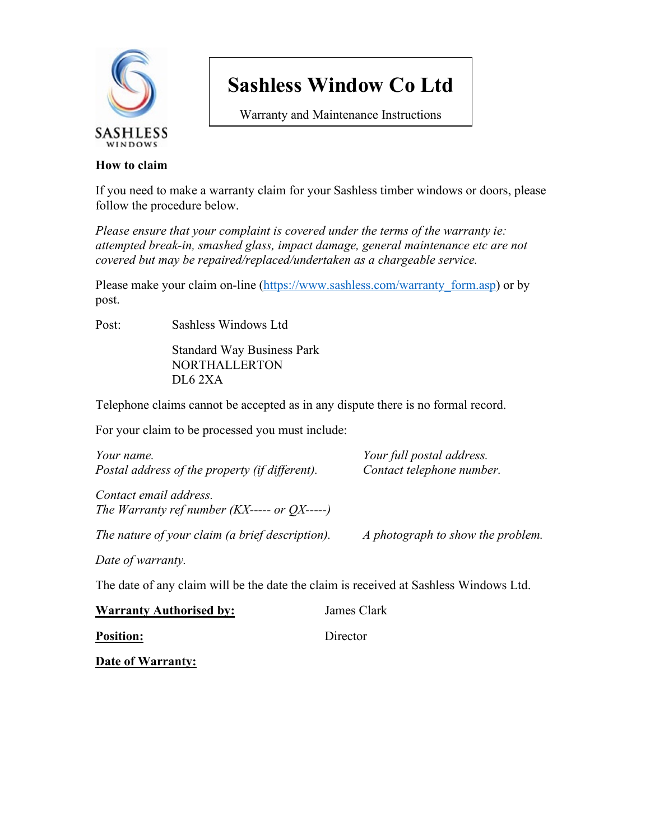

Warranty and Maintenance Instructions

#### **How to claim**

If you need to make a warranty claim for your Sashless timber windows or doors, please follow the procedure below.

*Please ensure that your complaint is covered under the terms of the warranty ie: attempted break-in, smashed glass, impact damage, general maintenance etc are not covered but may be repaired/replaced/undertaken as a chargeable service.*

Please make your claim on-line [\(https://www.sashless.com/warranty\\_form.asp\)](https://www.sashless.com/warranty_form.asp) or by post.

Post: Sashless Windows Ltd

Standard Way Business Park NORTHALLERTON DL6 2XA

Telephone claims cannot be accepted as in any dispute there is no formal record.

For your claim to be processed you must include:

| Your name.                                                                            | Your full postal address.         |
|---------------------------------------------------------------------------------------|-----------------------------------|
| Postal address of the property (if different).                                        | Contact telephone number.         |
| Contact email address.<br>The Warranty ref number $(KX$ ----- or $OX$ -----)          |                                   |
| The nature of your claim (a brief description).                                       | A photograph to show the problem. |
| Date of warranty.                                                                     |                                   |
| The date of any claim will be the date the claim is received at Sashless Windows Ltd. |                                   |

| <b>Warranty Authorised by:</b> | James Clark |  |
|--------------------------------|-------------|--|
| <b>Position:</b>               | Director    |  |
|                                |             |  |

**Date of Warranty:**